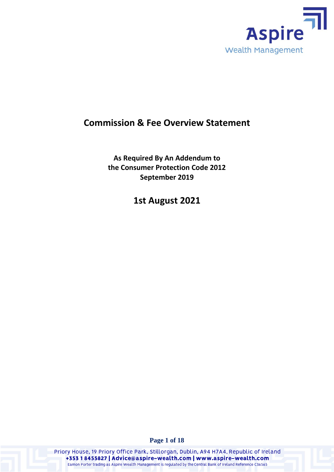

# **Commission & Fee Overview Statement**

**As Required By An Addendum to the Consumer Protection Code 2012 September 2019**

**1st August 2021**

**Page 1 of 18**

Priory House, 19 Priory Office Park, Stillorgan, Dublin, A94 H7A4, Republic of Ireland +353 18455827 | Advice@aspire-wealth.com | www.aspire-wealth.com Eamon Porter trading as Aspire Wealth Management is regulated by the Central Bank of Ireland Reference C36565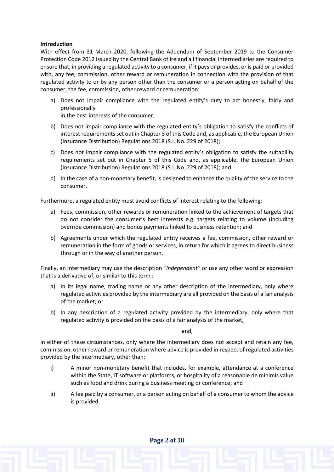# **Introduction**

With effect from 31 March 2020, following the Addendum of September 2019 to the Consumer Protection Code 2012 issued by the Central Bank of Ireland all financial intermediaries are required to ensure that, in providing a regulated activity to a consumer, if it pays or provides, or is paid or provided with, any fee, commission, other reward or remuneration in connection with the provision of that regulated activity to or by any person other than the consumer or a person acting on behalf of the consumer, the fee, commission, other reward or remuneration:

- a) Does not impair compliance with the regulated entity's duty to act honestly, fairly and professionally in the best interests of the consumer;
- b) Does not impair compliance with the regulated entity's obligation to satisfy the conflicts of interest requirements set out in Chapter 3 of this Code and, as applicable, the European Union (Insurance Distribution) Regulations 2018 (S.I. No. 229 of 2018);
- c) Does not impair compliance with the regulated entity's obligation to satisfy the suitability requirements set out in Chapter 5 of this Code and, as applicable, the European Union (Insurance Distribution) Regulations 2018 (S.I. No. 229 of 2018); and
- d) In the case of a non-monetary benefit, is designed to enhance the quality of the service to the consumer.

Furthermore, a regulated entity must avoid conflicts of interest relating to the following:

- a) Fees, commission, other rewards or remuneration linked to the achievement of targets that do not consider the consumer's best interests e.g. targets relating to volume (including override commission) and bonus payments linked to business retention; and
- b) Agreements under which the regulated entity receives a fee, commission, other reward or remuneration in the form of goods or services, in return for which it agrees to direct business through or in the way of another person.

Finally, an intermediary may use the description *"independent"* or use any other word or expression that is a derivative of, or similar to this term :

- a) In its legal name, trading name or any other description of the intermediary, only where regulated activities provided by the intermediary are all provided on the basis of a fair analysis of the market; or
- b) In any description of a regulated activity provided by the intermediary, only where that regulated activity is provided on the basis of a fair analysis of the market,

and,

in either of these circumstances, only where the intermediary does not accept and retain any fee, commission, other reward or remuneration where advice is provided in respect of regulated activities provided by the intermediary, other than:

- i) A minor non-monetary benefit that includes, for example, attendance at a conference within the State, IT software or platforms, or hospitality of a reasonable de minimis value such as food and drink during a business meeting or conference; and
- ii) A fee paid by a consumer, or a person acting on behalf of a consumer to whom the advice is provided.

**Page 2 of 18**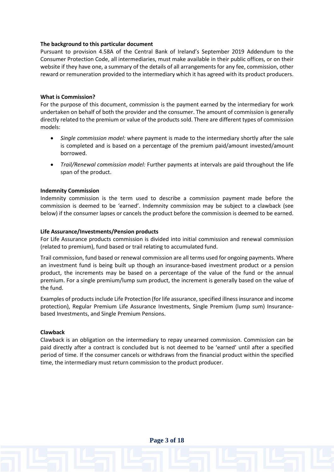## **The background to this particular document**

Pursuant to provision 4.58A of the Central Bank of Ireland's September 2019 Addendum to the Consumer Protection Code, all intermediaries, must make available in their public offices, or on their website if they have one, a summary of the details of all arrangements for any fee, commission, other reward or remuneration provided to the intermediary which it has agreed with its product producers.

### **What is Commission?**

For the purpose of this document, commission is the payment earned by the intermediary for work undertaken on behalf of both the provider and the consumer. The amount of commission is generally directly related to the premium or value of the products sold. There are different types of commission models:

- *Single commission model:* where payment is made to the intermediary shortly after the sale is completed and is based on a percentage of the premium paid/amount invested/amount borrowed.
- *Trail/Renewal commission model:* Further payments at intervals are paid throughout the life span of the product.

#### **Indemnity Commission**

Indemnity commission is the term used to describe a commission payment made before the commission is deemed to be 'earned'. Indemnity commission may be subject to a clawback (see below) if the consumer lapses or cancels the product before the commission is deemed to be earned.

#### **Life Assurance/Investments/Pension products**

For Life Assurance products commission is divided into initial commission and renewal commission (related to premium), fund based or trail relating to accumulated fund.

Trail commission, fund based or renewal commission are all terms used for ongoing payments. Where an investment fund is being built up though an insurance-based investment product or a pension product, the increments may be based on a percentage of the value of the fund or the annual premium. For a single premium/lump sum product, the increment is generally based on the value of the fund.

Examples of products include Life Protection (for life assurance, specified illness insurance and income protection), Regular Premium Life Assurance Investments, Single Premium (lump sum) Insurancebased Investments, and Single Premium Pensions.

#### **Clawback**

Clawback is an obligation on the intermediary to repay unearned commission. Commission can be paid directly after a contract is concluded but is not deemed to be 'earned' until after a specified period of time. If the consumer cancels or withdraws from the financial product within the specified time, the intermediary must return commission to the product producer.

**Page 3 of 18**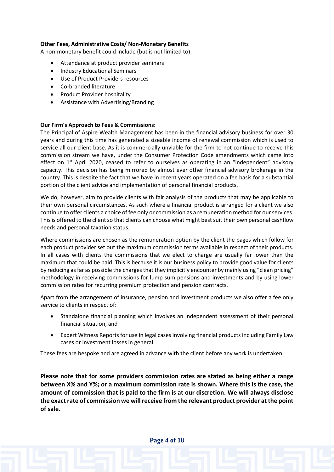# **Other Fees, Administrative Costs/ Non-Monetary Benefits**

A non-monetary benefit could include (but is not limited to):

- Attendance at product provider seminars
- Industry Educational Seminars
- Use of Product Providers resources
- Co-branded literature
- Product Provider hospitality
- Assistance with Advertising/Branding

# **Our Firm's Approach to Fees & Commissions:**

The Principal of Aspire Wealth Management has been in the financial advisory business for over 30 years and during this time has generated a sizeable income of renewal commission which is used to service all our client base. As it is commercially unviable for the firm to not continue to receive this commission stream we have, under the Consumer Protection Code amendments which came into effect on 1<sup>st</sup> April 2020, ceased to refer to ourselves as operating in an "independent" advisory capacity. This decision has being mirrored by almost ever other financial advisory brokerage in the country. This is despite the fact that we have in recent years operated on a fee basis for a substantial portion of the client advice and implementation of personal financial products.

We do, however, aim to provide clients with fair analysis of the products that may be applicable to their own personal circumstances. As such where a financial product is arranged for a client we also continue to offer clients a choice of fee only or commission as a remuneration method for our services. This is offered to the client so that clients can choose what might best suit their own personal cashflow needs and personal taxation status.

Where commissions are chosen as the remuneration option by the client the pages which follow for each product provider set out the maximum commission terms available in respect of their products. In all cases with clients the commissions that we elect to charge are usually far lower than the maximum that could be paid. This is because it is our business policy to provide good value for clients by reducing as far as possible the charges that they implicitly encounter by mainly using "clean pricing" methodology in receiving commissions for lump sum pensions and investments and by using lower commission rates for recurring premium protection and pension contracts.

Apart from the arrangement of insurance, pension and investment products we also offer a fee only service to clients in respect of:

- Standalone financial planning which involves an independent assessment of their personal financial situation, and
- Expert Witness Reports for use in legal cases involving financial products including Family Law cases or investment losses in general.

These fees are bespoke and are agreed in advance with the client before any work is undertaken.

**Please note that for some providers commission rates are stated as being either a range between X% and Y%; or a maximum commission rate is shown. Where this is the case, the amount of commission that is paid to the firm is at our discretion. We will always disclose the exact rate of commission we will receive from the relevant product provider at the point of sale.** 

**Page 4 of 18**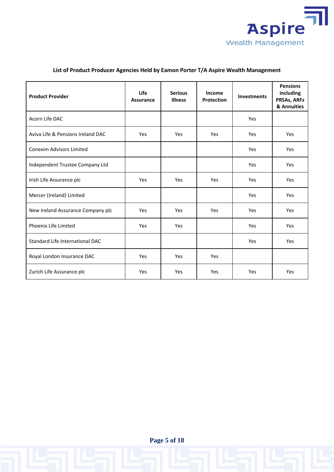

| <b>Product Provider</b>           | <b>Life</b><br><b>Assurance</b> | <b>Serious</b><br><b>Illness</b> | Income<br><b>Protection</b> | <b>Investments</b> | <b>Pensions</b><br>including<br>PRSAs, ARFs<br>& Annuities |
|-----------------------------------|---------------------------------|----------------------------------|-----------------------------|--------------------|------------------------------------------------------------|
| Acorn Life DAC                    |                                 |                                  |                             | Yes                |                                                            |
| Aviva Life & Pensions Ireland DAC | Yes                             | Yes                              | Yes                         | Yes                | Yes                                                        |
| <b>Conexim Advisors Limited</b>   |                                 |                                  |                             | Yes                | Yes                                                        |
| Independent Trustee Company Ltd   |                                 |                                  |                             | Yes                | Yes                                                        |
| Irish Life Assurance plc          | Yes                             | Yes                              | Yes                         | Yes                | Yes                                                        |
| Mercer (Ireland) Limited          |                                 |                                  |                             | Yes                | Yes                                                        |
| New Ireland Assurance Company plc | Yes                             | Yes                              | Yes                         | Yes                | Yes                                                        |
| Phoenix Life Limited              | Yes                             | Yes                              |                             | Yes                | Yes                                                        |
| Standard Life International DAC   |                                 |                                  |                             | Yes                | Yes                                                        |
| Royal London Insurance DAC        | Yes                             | Yes                              | Yes                         |                    |                                                            |
| Zurich Life Assurance plc         | Yes                             | Yes                              | Yes                         | Yes                | Yes                                                        |

# **List of Product Producer Agencies Held by Eamon Porter T/A Aspire Wealth Management**

**Page 5 of 18**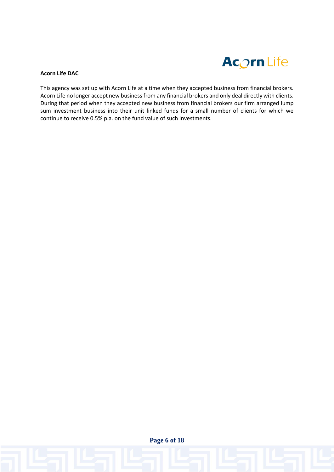

# **Acorn Life DAC**

This agency was set up with Acorn Life at a time when they accepted business from financial brokers. Acorn Life no longer accept new business from any financial brokers and only deal directly with clients. During that period when they accepted new business from financial brokers our firm arranged lump sum investment business into their unit linked funds for a small number of clients for which we continue to receive 0.5% p.a. on the fund value of such investments.

**Page 6 of 18**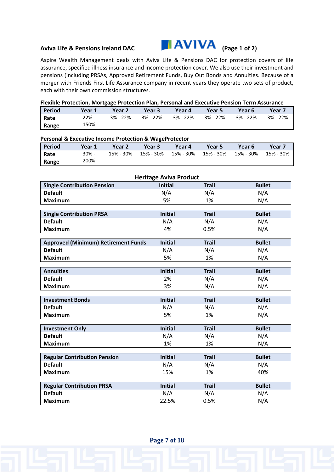

Aspire Wealth Management deals with Aviva Life & Pensions DAC for protection covers of life assurance, specified illness insurance and income protection cover. We also use their investment and pensions (including PRSAs, Approved Retirement Funds, Buy Out Bonds and Annuities. Because of a merger with Friends First Life Assurance company in recent years they operate two sets of product, each with their own commission structures.

| <b>Period</b>                                        | Year 1                              | Year 2                                                                | Year 3                        | Year 4         | Year 5       | Year 6     | Year 7        |
|------------------------------------------------------|-------------------------------------|-----------------------------------------------------------------------|-------------------------------|----------------|--------------|------------|---------------|
| Rate                                                 | 22% -                               | 3% - 22%                                                              | 3% - 22%                      | 3% - 22%       | $3% - 22%$   | $3% - 22%$ | 3% - 22%      |
| Range                                                | 150%                                |                                                                       |                               |                |              |            |               |
|                                                      |                                     |                                                                       |                               |                |              |            |               |
|                                                      |                                     | <b>Personal &amp; Executive Income Protection &amp; WageProtector</b> |                               |                |              |            |               |
| <b>Period</b>                                        | Year 1                              | Year 2                                                                | Year 3                        | Year 4         | Year 5       | Year 6     | Year 7        |
| Rate                                                 | 30% -                               | 15% - 30%                                                             | 15% - 30%                     | 15% - 30%      | 15% - 30%    | 15% - 30%  | 15% - 30%     |
| Range                                                | 200%                                |                                                                       |                               |                |              |            |               |
|                                                      |                                     |                                                                       | <b>Heritage Aviva Product</b> |                |              |            |               |
|                                                      |                                     |                                                                       | <b>Initial</b>                |                | <b>Trail</b> |            | <b>Bullet</b> |
| <b>Single Contribution Pension</b><br><b>Default</b> |                                     | N/A                                                                   |                               | N/A            |              | N/A        |               |
| <b>Maximum</b>                                       |                                     |                                                                       | 5%                            |                | 1%           |            | N/A           |
|                                                      |                                     |                                                                       |                               |                |              |            |               |
|                                                      | <b>Single Contribution PRSA</b>     |                                                                       |                               | <b>Initial</b> | <b>Trail</b> |            | <b>Bullet</b> |
| <b>Default</b>                                       |                                     |                                                                       |                               | N/A            | N/A          | N/A        |               |
| <b>Maximum</b>                                       |                                     |                                                                       |                               | 4%             | 0.5%         |            | N/A           |
|                                                      |                                     |                                                                       |                               |                |              |            |               |
|                                                      |                                     | <b>Approved (Minimum) Retirement Funds</b>                            |                               | <b>Initial</b> | <b>Trail</b> |            | <b>Bullet</b> |
| <b>Default</b>                                       |                                     |                                                                       | N/A                           | N/A            | N/A          |            |               |
| <b>Maximum</b>                                       |                                     |                                                                       |                               | 5%             | 1%           |            | N/A           |
| <b>Annuities</b>                                     |                                     |                                                                       |                               | <b>Initial</b> | <b>Trail</b> |            | <b>Bullet</b> |
| <b>Default</b>                                       |                                     |                                                                       |                               | 2%             | N/A          |            | N/A           |
| <b>Maximum</b>                                       |                                     |                                                                       |                               | 3%             |              | N/A        |               |
|                                                      |                                     |                                                                       |                               |                | N/A          |            |               |
| <b>Investment Bonds</b>                              |                                     |                                                                       |                               | <b>Initial</b> | <b>Trail</b> |            | <b>Bullet</b> |
| <b>Default</b>                                       |                                     |                                                                       |                               | N/A            |              | N/A<br>N/A |               |
| <b>Maximum</b>                                       |                                     |                                                                       |                               | 5%             | 1%           |            | N/A           |
|                                                      |                                     |                                                                       |                               |                |              |            |               |
| <b>Investment Only</b>                               |                                     |                                                                       |                               | <b>Initial</b> | <b>Trail</b> |            | <b>Bullet</b> |
| <b>Default</b>                                       |                                     |                                                                       |                               | N/A            | N/A          |            | N/A           |
| <b>Maximum</b>                                       |                                     |                                                                       |                               | 1%             | 1%           |            | N/A           |
|                                                      | <b>Regular Contribution Pension</b> |                                                                       |                               | <b>Initial</b> | <b>Trail</b> |            | <b>Bullet</b> |
| <b>Default</b>                                       |                                     |                                                                       |                               | N/A            | N/A          |            | N/A           |
| <b>Maximum</b>                                       |                                     |                                                                       |                               | 15%            | 1%           |            | 40%           |
|                                                      |                                     |                                                                       |                               |                |              |            |               |
|                                                      | <b>Regular Contribution PRSA</b>    |                                                                       |                               | <b>Initial</b> | <b>Trail</b> |            | <b>Bullet</b> |
| <b>Default</b>                                       |                                     |                                                                       |                               | N/A            | N/A          |            | N/A           |
| <b>Maximum</b>                                       |                                     |                                                                       |                               | 22.5%          | 0.5%         |            | N/A           |

**Page 7 of 18**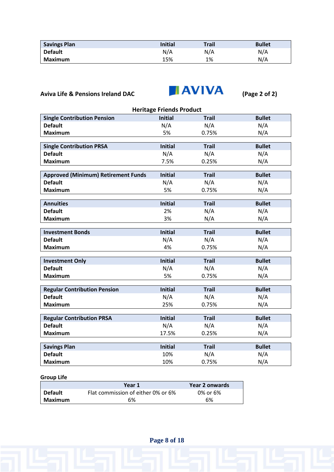| <b>Savings Plan</b> | <b>Initial</b> | <b>Trail</b> | <b>Bullet</b> |
|---------------------|----------------|--------------|---------------|
| <b>Default</b>      | N/A            | N/A          | N/A           |
| Maximum             | 15%            | 1%           | N/A           |



| <b>Heritage Friends Product</b>            |                |              |               |  |  |  |  |
|--------------------------------------------|----------------|--------------|---------------|--|--|--|--|
| <b>Single Contribution Pension</b>         | <b>Initial</b> | <b>Trail</b> | <b>Bullet</b> |  |  |  |  |
| <b>Default</b>                             | N/A            | N/A          | N/A           |  |  |  |  |
| <b>Maximum</b>                             | 5%             | 0.75%        | N/A           |  |  |  |  |
|                                            |                |              |               |  |  |  |  |
| <b>Single Contribution PRSA</b>            | <b>Initial</b> | <b>Trail</b> | <b>Bullet</b> |  |  |  |  |
| <b>Default</b>                             | N/A            | N/A          | N/A           |  |  |  |  |
| <b>Maximum</b>                             | 7.5%           | 0.25%        | N/A           |  |  |  |  |
|                                            |                |              |               |  |  |  |  |
| <b>Approved (Minimum) Retirement Funds</b> | <b>Initial</b> | <b>Trail</b> | <b>Bullet</b> |  |  |  |  |
| <b>Default</b>                             | N/A            | N/A          | N/A           |  |  |  |  |
| <b>Maximum</b>                             | 5%             | 0.75%        | N/A           |  |  |  |  |
|                                            |                |              |               |  |  |  |  |
| <b>Annuities</b>                           | <b>Initial</b> | <b>Trail</b> | <b>Bullet</b> |  |  |  |  |
| <b>Default</b>                             | 2%             | N/A          | N/A           |  |  |  |  |
| <b>Maximum</b>                             | 3%             | N/A          | N/A           |  |  |  |  |
| <b>Investment Bonds</b>                    | <b>Initial</b> | <b>Trail</b> | <b>Bullet</b> |  |  |  |  |
| <b>Default</b>                             |                |              |               |  |  |  |  |
|                                            | N/A            | N/A          | N/A           |  |  |  |  |
| <b>Maximum</b>                             | 4%             | 0.75%        | N/A           |  |  |  |  |
| <b>Investment Only</b>                     | <b>Initial</b> | <b>Trail</b> | <b>Bullet</b> |  |  |  |  |
| <b>Default</b>                             | N/A            | N/A          | N/A           |  |  |  |  |
| <b>Maximum</b>                             | 5%             | 0.75%        | N/A           |  |  |  |  |
|                                            |                |              |               |  |  |  |  |
| <b>Regular Contribution Pension</b>        | <b>Initial</b> | <b>Trail</b> | <b>Bullet</b> |  |  |  |  |
| <b>Default</b>                             | N/A            | N/A          | N/A           |  |  |  |  |
| <b>Maximum</b>                             | 25%            | 0.75%        | N/A           |  |  |  |  |
|                                            |                |              |               |  |  |  |  |
| <b>Regular Contribution PRSA</b>           | <b>Initial</b> | <b>Trail</b> | <b>Bullet</b> |  |  |  |  |
| <b>Default</b>                             | N/A            | N/A          | N/A           |  |  |  |  |
| <b>Maximum</b>                             | 17.5%          | 0.25%        | N/A           |  |  |  |  |
|                                            |                |              |               |  |  |  |  |
| <b>Savings Plan</b>                        | <b>Initial</b> | <b>Trail</b> | <b>Bullet</b> |  |  |  |  |
| <b>Default</b>                             | 10%            | N/A          | N/A           |  |  |  |  |
| <b>Maximum</b>                             | 10%            | 0.75%        | N/A           |  |  |  |  |

# **Group Life**

|                | Year 1                             | Year 2 onwards |
|----------------|------------------------------------|----------------|
| <b>Default</b> | Flat commission of either 0% or 6% | 0% or 6%       |
| Maximum        | 6%                                 | 6%             |

**Page 8 of 18**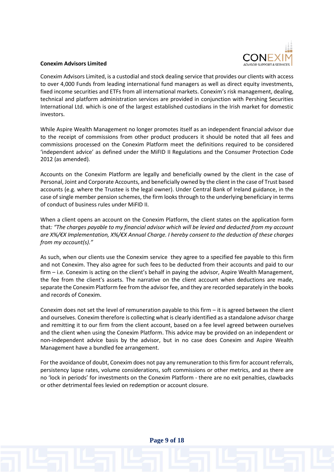

### **Conexim Advisors Limited**

Conexim Advisors Limited, is a custodial and stock dealing service that provides our clients with access to over 4,000 Funds from leading international fund managers as well as direct equity investments, fixed income securities and ETFs from all international markets. Conexim's risk management, dealing, technical and platform administration services are provided in conjunction with Pershing Securities International Ltd. which is one of the largest established custodians in the Irish market for domestic investors.

While Aspire Wealth Management no longer promotes itself as an independent financial advisor due to the receipt of commissions from other product producers it should be noted that all fees and commissions processed on the Conexim Platform meet the definitions required to be considered 'independent advice' as defined under the MiFID II Regulations and the Consumer Protection Code 2012 (as amended).

Accounts on the Conexim Platform are legally and beneficially owned by the client in the case of Personal, Joint and Corporate Accounts, and beneficially owned by the client in the case of Trust based accounts (e.g. where the Trustee is the legal owner). Under Central Bank of Ireland guidance, in the case of single member pension schemes, the firm looks through to the underlying beneficiary in terms of conduct of business rules under MiFID II.

When a client opens an account on the Conexim Platform, the client states on the application form that*: "The charges payable to my financial advisor which will be levied and deducted from my account are X%/€X Implementation, X%/€X Annual Charge. I hereby consent to the deduction of these charges from my account(s)."* 

As such, when our clients use the Conexim service they agree to a specified fee payable to this firm and not Conexim. They also agree for such fees to be deducted from their accounts and paid to our firm – i.e. Conexim is acting on the client's behalf in paying the advisor, Aspire Wealth Management, the fee from the client's assets. The narrative on the client account when deductions are made, separate the Conexim Platform fee from the advisor fee, and they are recorded separately in the books and records of Conexim.

Conexim does not set the level of remuneration payable to this firm – it is agreed between the client and ourselves. Conexim therefore is collecting what is clearly identified as a standalone advisor charge and remitting it to our firm from the client account, based on a fee level agreed between ourselves and the client when using the Conexim Platform. This advice may be provided on an independent or non-independent advice basis by the advisor, but in no case does Conexim and Aspire Wealth Management have a bundled fee arrangement.

For the avoidance of doubt, Conexim does not pay any remuneration to this firm for account referrals, persistency lapse rates, volume considerations, soft commissions or other metrics, and as there are no 'lock in periods' for investments on the Conexim Platform - there are no exit penalties, clawbacks or other detrimental fees levied on redemption or account closure.

**Page 9 of 18**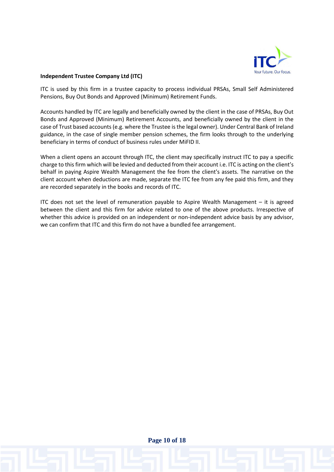

# **Independent Trustee Company Ltd (ITC)**

ITC is used by this firm in a trustee capacity to process individual PRSAs, Small Self Administered Pensions, Buy Out Bonds and Approved (Minimum) Retirement Funds.

Accounts handled by ITC are legally and beneficially owned by the client in the case of PRSAs, Buy Out Bonds and Approved (Minimum) Retirement Accounts, and beneficially owned by the client in the case of Trust based accounts (e.g. where the Trustee is the legal owner). Under Central Bank of Ireland guidance, in the case of single member pension schemes, the firm looks through to the underlying beneficiary in terms of conduct of business rules under MiFID II.

When a client opens an account through ITC, the client may specifically instruct ITC to pay a specific charge to this firm which will be levied and deducted from their account i.e. ITC is acting on the client's behalf in paying Aspire Wealth Management the fee from the client's assets. The narrative on the client account when deductions are made, separate the ITC fee from any fee paid this firm, and they are recorded separately in the books and records of ITC.

ITC does not set the level of remuneration payable to Aspire Wealth Management – it is agreed between the client and this firm for advice related to one of the above products. Irrespective of whether this advice is provided on an independent or non-independent advice basis by any advisor, we can confirm that ITC and this firm do not have a bundled fee arrangement.

**Page 10 of 18**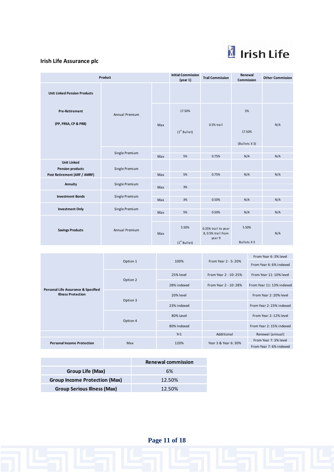

# **Irish Life Assurance plc**

| Product                                                                       |                |            | <b>Initial Commission</b><br>(year 1) | <b>Trail Commission</b>                             | Renewal<br>Commission      | <b>Other Commission</b> |
|-------------------------------------------------------------------------------|----------------|------------|---------------------------------------|-----------------------------------------------------|----------------------------|-------------------------|
| <b>Unit Linked Pension Products</b>                                           |                |            |                                       |                                                     |                            |                         |
| <b>Pre-Retirement</b>                                                         | Annual Premium |            | 17.50%                                |                                                     | 5%                         |                         |
| (PP, PRSA, CP & PRB)                                                          |                | Max        | $(1st$ Bullet)                        | 0.5% trail                                          | 17.50%<br>(Bullets X3)     | N/A                     |
|                                                                               | Single Premium |            |                                       |                                                     |                            |                         |
| <b>Unit Linked</b><br><b>Pension products</b><br>Post Retirement (ARF / AMRF) | Single Premium | Max<br>Max | 5%<br>5%                              | 0.75%<br>0.75%                                      | N/A<br>N/A                 | N/A<br>N/A              |
| Annuity                                                                       | Single Premium | Max        | 3%                                    |                                                     |                            |                         |
| <b>Investment Bonds</b>                                                       | Single Premium | Max        | 3%                                    | 0.50%                                               | N/A                        | N/A                     |
| <b>Investment Only</b>                                                        | Single Premium | Max        | 5%                                    | 0.50%                                               | N/A                        | N/A                     |
| <b>Savings Products</b>                                                       | Annual Premium | Max        | 5.50%<br>$(1st$ Bullet)               | 0.25% trail to year<br>8, 0.5% trail from<br>year 9 | 5.50%<br><b>Bullets X3</b> | N/A                     |
|                                                                               |                |            |                                       |                                                     |                            |                         |

|                                                                  |          |             |                       | From Year 6:3% level      |
|------------------------------------------------------------------|----------|-------------|-----------------------|---------------------------|
|                                                                  | Option 1 | 100%        | From Year 2 - 5: 20%  | From Year 6: 6% indexed   |
| Personal Life Assurance & Specified<br><b>Illness Protection</b> |          | 25% level   | From Year 2 - 10: 25% | From Year 11: 10% level   |
|                                                                  | Option 2 | 28% indexed | From Year 2 - 10: 28% | From Year 11: 13% indexed |
|                                                                  |          | 20% level   |                       | From Year 2: 20% level    |
|                                                                  | Option 3 | 23% indexed |                       | From Year 2: 23% indexed  |
|                                                                  |          | 80% Level   |                       | From Year 2: 12% level    |
|                                                                  | Option 4 | 80% Indexed |                       | From Year 2: 15% indexed  |
|                                                                  |          | Yr1         | Additional            | Renewal (annual)          |
|                                                                  |          |             | Year 3 & Year 6:30%   | From Year 7:3% level      |
| <b>Personal Income Protection</b>                                | Max      | 120%        |                       | From Year 7:6% indexed    |

|                                    | <b>Renewal commission</b> |
|------------------------------------|---------------------------|
| Group Life (Max)                   | 6%                        |
| Group Income Protection (Max)      | 12.50%                    |
| <b>Group Serious Illness (Max)</b> | 12.50%                    |

**Page 11 of 18**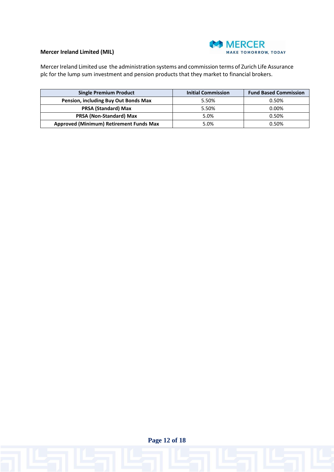

# **Mercer Ireland Limited (MIL)**

Mercer Ireland Limited use the administration systems and commission terms of Zurich Life Assurance plc for the lump sum investment and pension products that they market to financial brokers.

| <b>Single Premium Product</b>                  | <b>Initial Commission</b> | <b>Fund Based Commission</b> |
|------------------------------------------------|---------------------------|------------------------------|
| Pension, including Buy Out Bonds Max           | 5.50%                     | 0.50%                        |
| <b>PRSA (Standard) Max</b>                     | 5.50%                     | $0.00\%$                     |
| <b>PRSA (Non-Standard) Max</b>                 | 5.0%                      | 0.50%                        |
| <b>Approved (Minimum) Retirement Funds Max</b> | 5.0%                      | 0.50%                        |

**Page 12 of 18**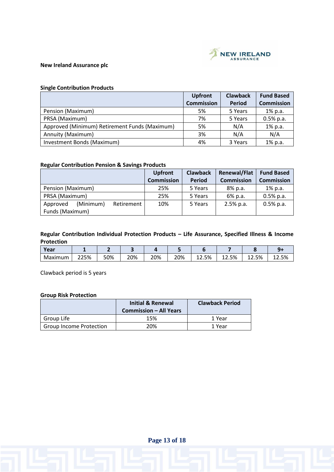

# **New Ireland Assurance plc**

# **Single Contribution Products**

|                                               | <b>Upfront</b>    | <b>Clawback</b> | <b>Fund Based</b> |
|-----------------------------------------------|-------------------|-----------------|-------------------|
|                                               | <b>Commission</b> | <b>Period</b>   | <b>Commission</b> |
| Pension (Maximum)                             | 5%                | 5 Years         | 1% p.a.           |
| PRSA (Maximum)                                | 7%                | 5 Years         | $0.5%$ p.a.       |
| Approved (Minimum) Retirement Funds (Maximum) | 5%                | N/A             | 1% p.a.           |
| Annuity (Maximum)                             | 3%                | N/A             | N/A               |
| Investment Bonds (Maximum)                    | 4%                | 3 Years         | 1% p.a.           |

### **Regular Contribution Pension & Savings Products**

|                                     | <b>Upfront</b>    | <b>Clawback</b> | <b>Renewal/Flat</b> | <b>Fund Based</b> |
|-------------------------------------|-------------------|-----------------|---------------------|-------------------|
|                                     | <b>Commission</b> | Period          | <b>Commission</b>   | <b>Commission</b> |
| Pension (Maximum)                   | 25%               | 5 Years         | 8% p.a.             | 1% p.a.           |
| PRSA (Maximum)                      | 25%               | 5 Years         | 6% p.a.             | $0.5%$ p.a.       |
| Approved<br>(Minimum)<br>Retirement | 10%               | 5 Years         | $2.5%$ p.a.         | $0.5%$ p.a.       |
| Funds (Maximum)                     |                   |                 |                     |                   |

# **Regular Contribution Individual Protection Products – Life Assurance, Specified Illness & Income Protection**

| Year    |      |     |     |     |     |       |       |              |       |
|---------|------|-----|-----|-----|-----|-------|-------|--------------|-------|
| Maximum | 225% | 50% | 20% | 20% | 20% | 12.5% | 12.5% | <b>12.5%</b> | 12.5% |

Clawback period is 5 years

# **Group Risk Protection**

|                                | <b>Initial &amp; Renewal</b><br><b>Commission - All Years</b> | <b>Clawback Period</b> |
|--------------------------------|---------------------------------------------------------------|------------------------|
| Group Life                     | 15%                                                           | 1 Year                 |
| <b>Group Income Protection</b> | 20%                                                           | 1 Year                 |

**Page 13 of 18**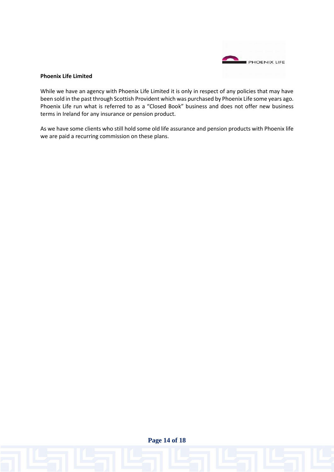

## **Phoenix Life Limited**

While we have an agency with Phoenix Life Limited it is only in respect of any policies that may have been sold in the past through Scottish Provident which was purchased by Phoenix Life some years ago. Phoenix Life run what is referred to as a "Closed Book" business and does not offer new business terms in Ireland for any insurance or pension product.

As we have some clients who still hold some old life assurance and pension products with Phoenix life we are paid a recurring commission on these plans.

**Page 14 of 18**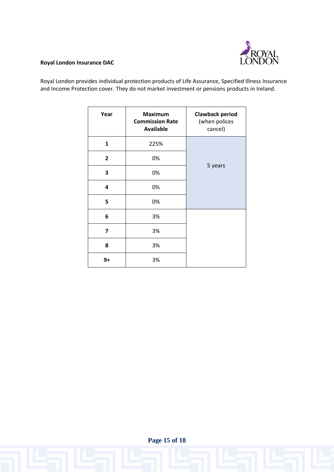

# **Royal London Insurance DAC**

Royal London provides individual protection products of Life Assurance, Specified Illness Insurance and Income Protection cover. They do not market investment or pensions products in Ireland.

| Year         | <b>Maximum</b><br><b>Commission Rate</b><br><b>Available</b> | <b>Clawback period</b><br>(when polices<br>cancel) |  |
|--------------|--------------------------------------------------------------|----------------------------------------------------|--|
| $\mathbf{1}$ | 225%                                                         |                                                    |  |
| $\mathbf{2}$ | 0%                                                           |                                                    |  |
| 3            | 0%                                                           | 5 years                                            |  |
| 4            | 0%                                                           |                                                    |  |
| 5            | 0%                                                           |                                                    |  |
| 6            | 3%                                                           |                                                    |  |
| 7            | 3%                                                           |                                                    |  |
| 8            | 3%                                                           |                                                    |  |
| 9+           | 3%                                                           |                                                    |  |

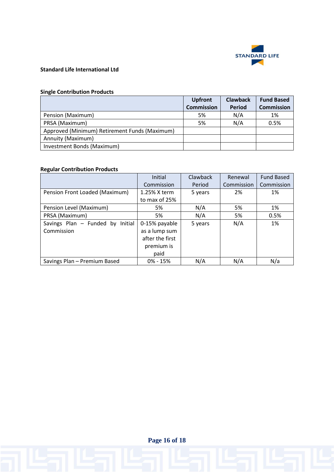

# **Standard Life International Ltd**

# **Single Contribution Products**

|                                               | <b>Upfront</b>    | <b>Clawback</b> | <b>Fund Based</b> |
|-----------------------------------------------|-------------------|-----------------|-------------------|
|                                               | <b>Commission</b> | <b>Period</b>   | <b>Commission</b> |
| Pension (Maximum)                             | 5%                | N/A             | 1%                |
| PRSA (Maximum)                                | 5%                | N/A             | 0.5%              |
| Approved (Minimum) Retirement Funds (Maximum) |                   |                 |                   |
| Annuity (Maximum)                             |                   |                 |                   |
| Investment Bonds (Maximum)                    |                   |                 |                   |

# **Regular Contribution Products**

|                                  | Initial         | Clawback | Renewal    | <b>Fund Based</b> |
|----------------------------------|-----------------|----------|------------|-------------------|
|                                  | Commission      | Period   | Commission | Commission        |
| Pension Front Loaded (Maximum)   | 1.25% X term    | 5 years  | 2%         | 1%                |
|                                  | to max of 25%   |          |            |                   |
| Pension Level (Maximum)          | 5%              | N/A      | 5%         | 1%                |
| PRSA (Maximum)                   | 5%              | N/A      | 5%         | 0.5%              |
| Savings Plan - Funded by Initial | 0-15% payable   | 5 years  | N/A        | 1%                |
| Commission                       | as a lump sum   |          |            |                   |
|                                  | after the first |          |            |                   |
|                                  | premium is      |          |            |                   |
|                                  | paid            |          |            |                   |
| Savings Plan - Premium Based     | $0\% - 15\%$    | N/A      | N/A        | N/a               |

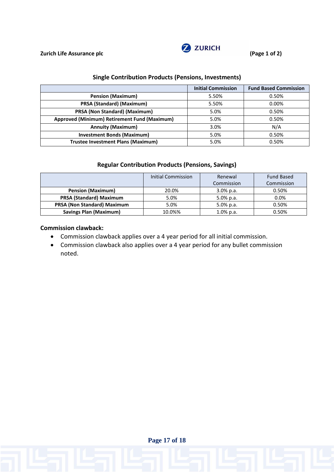

# **Single Contribution Products (Pensions, Investments)**

|                                              | <b>Initial Commission</b> | <b>Fund Based Commission</b> |
|----------------------------------------------|---------------------------|------------------------------|
| <b>Pension (Maximum)</b>                     | 5.50%                     | 0.50%                        |
| PRSA (Standard) (Maximum)                    | 5.50%                     | $0.00\%$                     |
| PRSA (Non Standard) (Maximum)                | 5.0%                      | 0.50%                        |
| Approved (Minimum) Retirement Fund (Maximum) | 5.0%                      | 0.50%                        |
| <b>Annuity (Maximum)</b>                     | 3.0%                      | N/A                          |
| <b>Investment Bonds (Maximum)</b>            | 5.0%                      | 0.50%                        |
| <b>Trustee Investment Plans (Maximum)</b>    | 5.0%                      | 0.50%                        |

# **Regular Contribution Products (Pensions, Savings)**

|                                    | Initial Commission | Renewal      | <b>Fund Based</b> |
|------------------------------------|--------------------|--------------|-------------------|
|                                    |                    | Commission   | Commission        |
| <b>Pension (Maximum)</b>           | 20.0%              | $3.0\%$ p.a. | 0.50%             |
| <b>PRSA (Standard) Maximum</b>     | 5.0%               | 5.0% p.a.    | 0.0%              |
| <b>PRSA (Non Standard) Maximum</b> | 5.0%               | 5.0% p.a.    | 0.50%             |
| <b>Savings Plan (Maximum)</b>      | 10.0%%             | $1.0\%$ p.a. | 0.50%             |

# **Commission clawback:**

- Commission clawback applies over a 4 year period for all initial commission.
- Commission clawback also applies over a 4 year period for any bullet commission noted.

**Page 17 of 18**